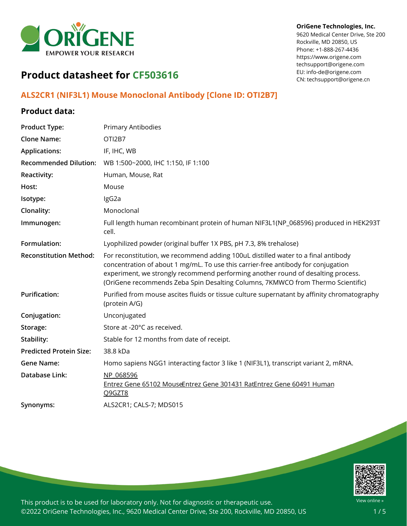

#### **OriGene Technologies, Inc.**

9620 Medical Center Drive, Ste 200 Rockville, MD 20850, US Phone: +1-888-267-4436 https://www.origene.com techsupport@origene.com EU: info-de@origene.com CN: techsupport@origene.cn

# **Product datasheet for CF503616**

# **ALS2CR1 (NIF3L1) Mouse Monoclonal Antibody [Clone ID: OTI2B7]**

### **Product data:**

| <b>Product Type:</b>           | <b>Primary Antibodies</b>                                                                                                                                                                                                                                                                                                                     |
|--------------------------------|-----------------------------------------------------------------------------------------------------------------------------------------------------------------------------------------------------------------------------------------------------------------------------------------------------------------------------------------------|
| <b>Clone Name:</b>             | OTI2B7                                                                                                                                                                                                                                                                                                                                        |
| <b>Applications:</b>           | IF, IHC, WB                                                                                                                                                                                                                                                                                                                                   |
| <b>Recommended Dilution:</b>   | WB 1:500~2000, IHC 1:150, IF 1:100                                                                                                                                                                                                                                                                                                            |
| <b>Reactivity:</b>             | Human, Mouse, Rat                                                                                                                                                                                                                                                                                                                             |
| Host:                          | Mouse                                                                                                                                                                                                                                                                                                                                         |
| Isotype:                       | IgG2a                                                                                                                                                                                                                                                                                                                                         |
| <b>Clonality:</b>              | Monoclonal                                                                                                                                                                                                                                                                                                                                    |
| Immunogen:                     | Full length human recombinant protein of human NIF3L1(NP_068596) produced in HEK293T<br>cell.                                                                                                                                                                                                                                                 |
| Formulation:                   | Lyophilized powder (original buffer 1X PBS, pH 7.3, 8% trehalose)                                                                                                                                                                                                                                                                             |
| <b>Reconstitution Method:</b>  | For reconstitution, we recommend adding 100uL distilled water to a final antibody<br>concentration of about 1 mg/mL. To use this carrier-free antibody for conjugation<br>experiment, we strongly recommend performing another round of desalting process.<br>(OriGene recommends Zeba Spin Desalting Columns, 7KMWCO from Thermo Scientific) |
| <b>Purification:</b>           | Purified from mouse ascites fluids or tissue culture supernatant by affinity chromatography<br>(protein A/G)                                                                                                                                                                                                                                  |
| Conjugation:                   | Unconjugated                                                                                                                                                                                                                                                                                                                                  |
| Storage:                       | Store at -20°C as received.                                                                                                                                                                                                                                                                                                                   |
| Stability:                     | Stable for 12 months from date of receipt.                                                                                                                                                                                                                                                                                                    |
| <b>Predicted Protein Size:</b> | 38.8 kDa                                                                                                                                                                                                                                                                                                                                      |
| <b>Gene Name:</b>              | Homo sapiens NGG1 interacting factor 3 like 1 (NIF3L1), transcript variant 2, mRNA.                                                                                                                                                                                                                                                           |
| Database Link:                 | NP 068596<br>Entrez Gene 65102 MouseEntrez Gene 301431 RatEntrez Gene 60491 Human<br>Q9GZT8                                                                                                                                                                                                                                                   |
| Synonyms:                      | ALS2CR1; CALS-7; MDS015                                                                                                                                                                                                                                                                                                                       |

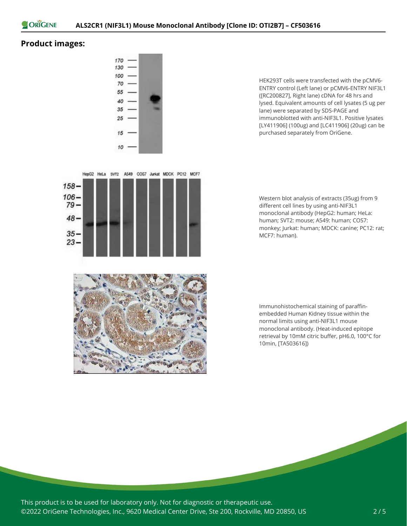

## **Product images:**



HEK293T cells were transfected with the pCMV6- ENTRY control (Left lane) or pCMV6-ENTRY NIF3L1 ([RC200827], Right lane) cDNA for 48 hrs and lysed. Equivalent amounts of cell lysates (5 ug per lane) were separated by SDS-PAGE and immunoblotted with anti-NIF3L1. Positive lysates [LY411906] (100ug) and [LC411906] (20ug) can be purchased separately from OriGene.

Western blot analysis of extracts (35ug) from 9 different cell lines by using anti-NIF3L1 monoclonal antibody (HepG2: human; HeLa: human; SVT2: mouse; A549: human; COS7: monkey; Jurkat: human; MDCK: canine; PC12: rat; MCF7: human).

Immunohistochemical staining of paraffinembedded Human Kidney tissue within the normal limits using anti-NIF3L1 mouse monoclonal antibody. (Heat-induced epitope retrieval by 10mM citric buffer, pH6.0, 100°C for 10min, [TA503616])



This product is to be used for laboratory only. Not for diagnostic or therapeutic use. ©2022 OriGene Technologies, Inc., 9620 Medical Center Drive, Ste 200, Rockville, MD 20850, US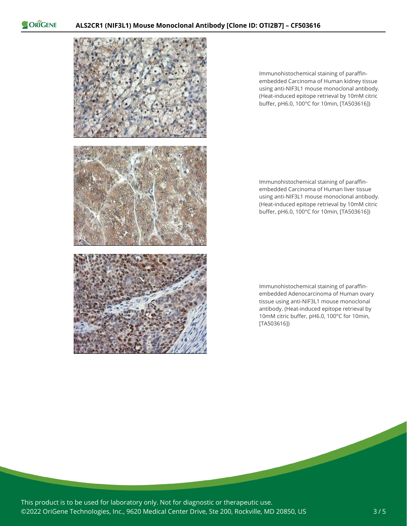ORIGENE



Immunohistochemical staining of paraffinembedded Carcinoma of Human kidney tissue using anti-NIF3L1 mouse monoclonal antibody. (Heat-induced epitope retrieval by 10mM citric buffer, pH6.0, 100°C for 10min, [TA503616])

Immunohistochemical staining of paraffinembedded Carcinoma of Human liver tissue using anti-NIF3L1 mouse monoclonal antibody. (Heat-induced epitope retrieval by 10mM citric buffer, pH6.0, 100°C for 10min, [TA503616])

Immunohistochemical staining of paraffinembedded Adenocarcinoma of Human ovary tissue using anti-NIF3L1 mouse monoclonal antibody. (Heat-induced epitope retrieval by 10mM citric buffer, pH6.0, 100°C for 10min, [TA503616])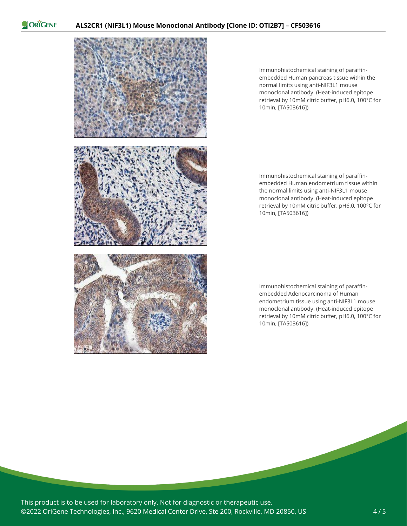ORIGENE



Immunohistochemical staining of paraffinembedded Human pancreas tissue within the normal limits using anti-NIF3L1 mouse monoclonal antibody. (Heat-induced epitope retrieval by 10mM citric buffer, pH6.0, 100°C for 10min, [TA503616])

Immunohistochemical staining of paraffinembedded Human endometrium tissue within the normal limits using anti-NIF3L1 mouse monoclonal antibody. (Heat-induced epitope retrieval by 10mM citric buffer, pH6.0, 100°C for 10min, [TA503616])

Immunohistochemical staining of paraffinembedded Adenocarcinoma of Human endometrium tissue using anti-NIF3L1 mouse monoclonal antibody. (Heat-induced epitope retrieval by 10mM citric buffer, pH6.0, 100°C for 10min, [TA503616])